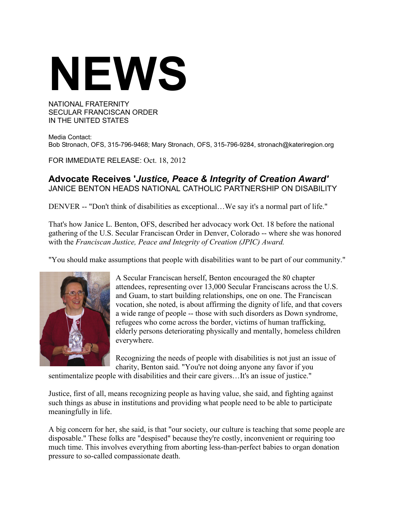## **NEWS**

## NATIONAL FRATERNITY SECULAR FRANCISCAN ORDER IN THE UNITED STATES

Media Contact: Bob Stronach, OFS, 315-796-9468; Mary Stronach, OFS, 315-796-9284, stronach@kateriregion.org

FOR IMMEDIATE RELEASE: Oct. 18, 2012

## **Advocate Receives '***Justice, Peace & Integrity of Creation Award'* JANICE BENTON HEADS NATIONAL CATHOLIC PARTNERSHIP ON DISABILITY

DENVER -- "Don't think of disabilities as exceptional…We say it's a normal part of life."

That's how Janice L. Benton, OFS, described her advocacy work Oct. 18 before the national gathering of the U.S. Secular Franciscan Order in Denver, Colorado -- where she was honored with the *Franciscan Justice, Peace and Integrity of Creation (JPIC) Award.*

"You should make assumptions that people with disabilities want to be part of our community."



A Secular Franciscan herself, Benton encouraged the 80 chapter attendees, representing over 13,000 Secular Franciscans across the U.S. and Guam, to start building relationships, one on one. The Franciscan vocation, she noted, is about affirming the dignity of life, and that covers a wide range of people -- those with such disorders as Down syndrome, refugees who come across the border, victims of human trafficking, elderly persons deteriorating physically and mentally, homeless children everywhere.

Recognizing the needs of people with disabilities is not just an issue of charity, Benton said. "You're not doing anyone any favor if you

sentimentalize people with disabilities and their care givers…It's an issue of justice."

Justice, first of all, means recognizing people as having value, she said, and fighting against such things as abuse in institutions and providing what people need to be able to participate meaningfully in life.

A big concern for her, she said, is that "our society, our culture is teaching that some people are disposable." These folks are "despised" because they're costly, inconvenient or requiring too much time. This involves everything from aborting less-than-perfect babies to organ donation pressure to so-called compassionate death.